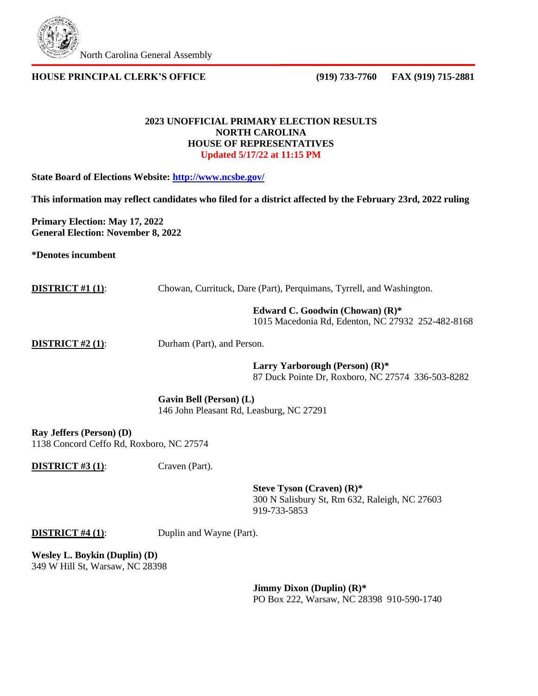

### **HOUSE PRINCIPAL CLERK'S OFFICE (919) 733-7760 FAX (919) 715-2881**

#### **2023 UNOFFICIAL PRIMARY ELECTION RESULTS NORTH CAROLINA HOUSE OF REPRESENTATIVES Updated 5/17/22 at 11:15 PM**

**State Board of Elections Website:<http://www.ncsbe.gov/>**

**This information may reflect candidates who filed for a district affected by the February 23rd, 2022 ruling** 

**Primary Election: May 17, 2022 General Election: November 8, 2022**

**\*Denotes incumbent**

| <b>DISTRICT</b> #1 $(1)$ : |  |  | Chowan, Currituck, Dare (Part), Perquimans, Tyrrell, and Washington. |  |
|----------------------------|--|--|----------------------------------------------------------------------|--|
|                            |  |  |                                                                      |  |

**Edward C. Goodwin (Chowan) (R)\***

1015 Macedonia Rd, Edenton, NC 27932 252-482-8168

**DISTRICT #2 (1):** Durham (Part), and Person.

**Larry Yarborough (Person) (R)\*** 87 Duck Pointe Dr, Roxboro, NC 27574 336-503-8282

**Gavin Bell (Person) (L)** 146 John Pleasant Rd, Leasburg, NC 27291

**Ray Jeffers (Person) (D)** 1138 Concord Ceffo Rd, Roxboro, NC 27574

**DISTRICT #3 (1):** Craven (Part).

**Steve Tyson (Craven) (R)\*** 300 N Salisbury St, Rm 632, Raleigh, NC 27603 919-733-5853

**DISTRICT #4 (1):** Duplin and Wayne (Part).

**Wesley L. Boykin (Duplin) (D)** 349 W Hill St, Warsaw, NC 28398

> **Jimmy Dixon (Duplin) (R)\*** PO Box 222, Warsaw, NC 28398 910-590-1740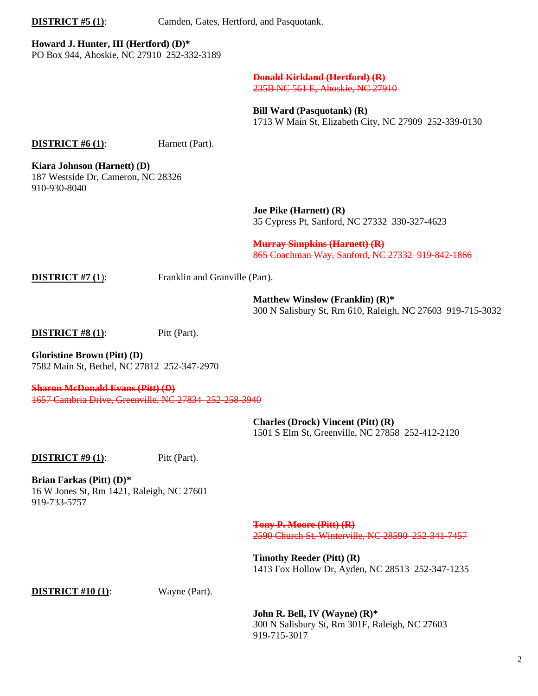**DISTRICT #5 (1):** Camden, Gates, Hertford, and Pasquotank.

# **Howard J. Hunter, III (Hertford) (D)\***

PO Box 944, Ahoskie, NC 27910 252-332-3189

#### **Donald Kirkland (Hertford) (R)** 235B NC 561 E, Ahoskie, NC 27910

**Bill Ward (Pasquotank) (R)** 1713 W Main St, Elizabeth City, NC 27909 252-339-0130

#### **DISTRICT #6 (1):** Harnett (Part).

**Kiara Johnson (Harnett) (D)** 187 Westside Dr, Cameron, NC 28326 910-930-8040

> **Joe Pike (Harnett) (R)** 35 Cypress Pt, Sanford, NC 27332 330-327-4623

**Murray Simpkins (Harnett) (R)** 865 Coachman Way, Sanford, NC 27332 919-842-1866

**DISTRICT #7 (1):** Franklin and Granville (Part).

**Matthew Winslow (Franklin) (R)\*** 300 N Salisbury St, Rm 610, Raleigh, NC 27603 919-715-3032

**DISTRICT #8 (1):** Pitt (Part).

**Gloristine Brown (Pitt) (D)** 7582 Main St, Bethel, NC 27812 252-347-2970

**Sharon McDonald Evans (Pitt) (D)** 1657 Cambria Drive, Greenville, NC 27834 252-258-3940

> **Charles (Drock) Vincent (Pitt) (R)** 1501 S Elm St, Greenville, NC 27858 252-412-2120

**DISTRICT #9 (1):** Pitt (Part).

**Brian Farkas (Pitt) (D)\*** 16 W Jones St, Rm 1421, Raleigh, NC 27601 919-733-5757

> **Tony P. Moore (Pitt) (R)** 2590 Church St, Winterville, NC 28590 252-341-7457

> **Timothy Reeder (Pitt) (R)** 1413 Fox Hollow Dr, Ayden, NC 28513 252-347-1235

#### **DISTRICT** #10 (1): Wayne (Part).

**John R. Bell, IV (Wayne) (R)\*** 300 N Salisbury St, Rm 301F, Raleigh, NC 27603 919-715-3017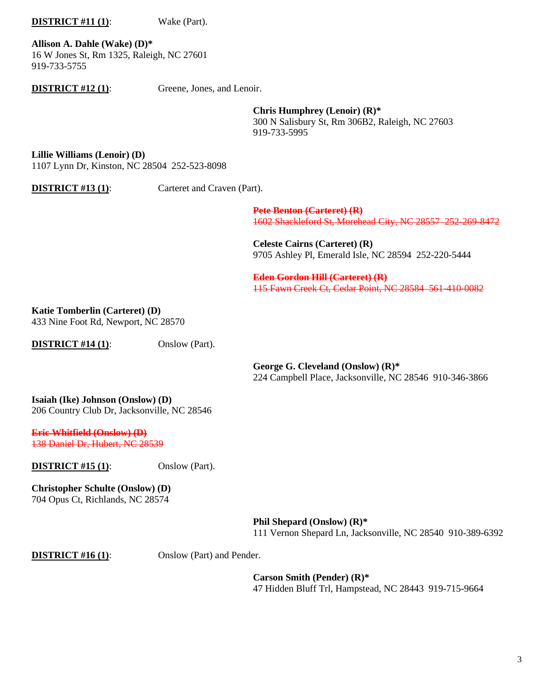# **DISTRICT** #11 (1): Wake (Part).

**Allison A. Dahle (Wake) (D)\*** 16 W Jones St, Rm 1325, Raleigh, NC 27601 919-733-5755

**DISTRICT** #12 (1): Greene, Jones, and Lenoir.

**Chris Humphrey (Lenoir) (R)\*** 300 N Salisbury St, Rm 306B2, Raleigh, NC 27603 919-733-5995

**Lillie Williams (Lenoir) (D)** 1107 Lynn Dr, Kinston, NC 28504 252-523-8098

**DISTRICT #13 (1):** Carteret and Craven (Part).

**Pete Benton (Carteret) (R)** 1602 Shackleford St, Morehead City, NC 28557 252-269-8472

**Celeste Cairns (Carteret) (R)** 9705 Ashley Pl, Emerald Isle, NC 28594 252-220-5444

**Eden Gordon Hill (Carteret) (R)** 115 Fawn Creek Ct, Cedar Point, NC 28584 561-410-0082

**Katie Tomberlin (Carteret) (D)**

433 Nine Foot Rd, Newport, NC 28570

**DISTRICT #14 (1):** Onslow (Part).

**George G. Cleveland (Onslow) (R)\*** 224 Campbell Place, Jacksonville, NC 28546 910-346-3866

**Isaiah (Ike) Johnson (Onslow) (D)** 206 Country Club Dr, Jacksonville, NC 28546

**Eric Whitfield (Onslow) (D)** 138 Daniel Dr, Hubert, NC 28539

**DISTRICT #15 (1)**: Onslow (Part).

**Christopher Schulte (Onslow) (D)** 704 Opus Ct, Richlands, NC 28574

> **Phil Shepard (Onslow) (R)\*** 111 Vernon Shepard Ln, Jacksonville, NC 28540 910-389-6392

**DISTRICT** #16 (1): Onslow (Part) and Pender.

**Carson Smith (Pender) (R)\*** 47 Hidden Bluff Trl, Hampstead, NC 28443 919-715-9664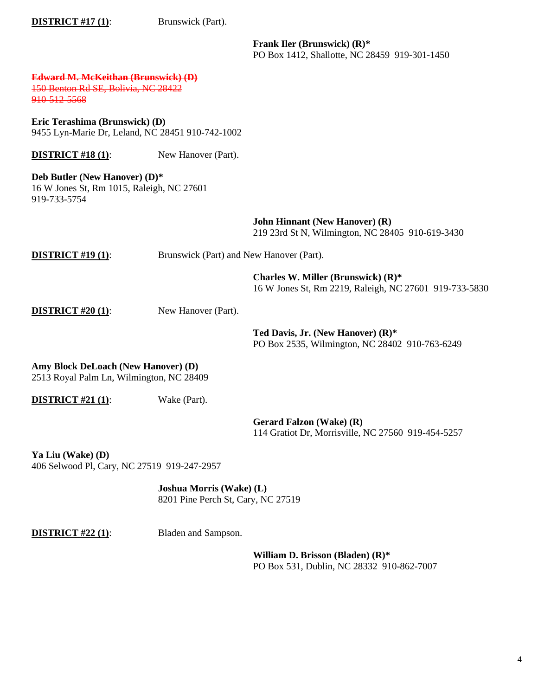**DISTRICT #17 (1):** Brunswick (Part). **Frank Iler (Brunswick) (R)\*** PO Box 1412, Shallotte, NC 28459 919-301-1450 **Edward M. McKeithan (Brunswick) (D)** 150 Benton Rd SE, Bolivia, NC 28422 910-512-5568 **Eric Terashima (Brunswick) (D)** 9455 Lyn-Marie Dr, Leland, NC 28451 910-742-1002 **DISTRICT #18 (1):** New Hanover (Part). **Deb Butler (New Hanover) (D)\***  16 W Jones St, Rm 1015, Raleigh, NC 27601 919-733-5754 **John Hinnant (New Hanover) (R)** 219 23rd St N, Wilmington, NC 28405 910-619-3430 **DISTRICT #19 (1):** Brunswick (Part) and New Hanover (Part). **Charles W. Miller (Brunswick) (R)\*** 16 W Jones St, Rm 2219, Raleigh, NC 27601 919-733-5830 **DISTRICT** #20 (1): New Hanover (Part). **Ted Davis, Jr. (New Hanover) (R)\*** PO Box 2535, Wilmington, NC 28402 910-763-6249 **Amy Block DeLoach (New Hanover) (D)** 2513 Royal Palm Ln, Wilmington, NC 28409 **DISTRICT #21 (1):** Wake (Part). **Gerard Falzon (Wake) (R)** 114 Gratiot Dr, Morrisville, NC 27560 919-454-5257 **Ya Liu (Wake) (D)** 406 Selwood Pl, Cary, NC 27519 919-247-2957 **Joshua Morris (Wake) (L)** 8201 Pine Perch St, Cary, NC 27519 **DISTRICT #22 (1):** Bladen and Sampson.

> **William D. Brisson (Bladen) (R)\*** PO Box 531, Dublin, NC 28332 910-862-7007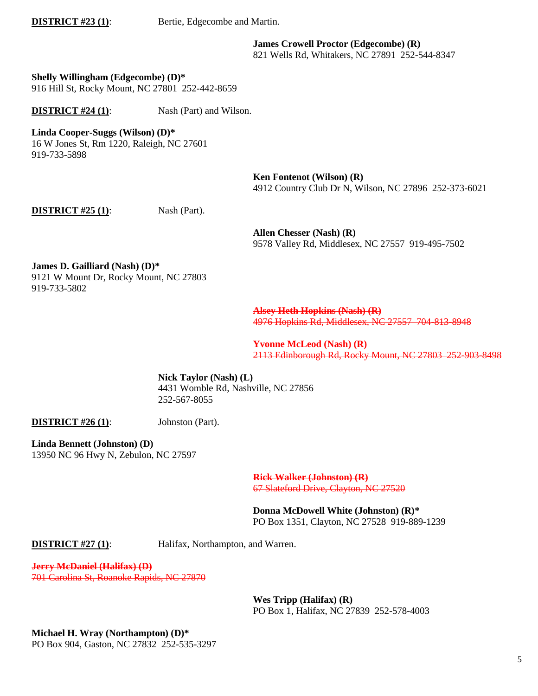**DISTRICT #23 (1):** Bertie, Edgecombe and Martin.

**James Crowell Proctor (Edgecombe) (R)** 821 Wells Rd, Whitakers, NC 27891 252-544-8347

**Shelly Willingham (Edgecombe) (D)\*** 916 Hill St, Rocky Mount, NC 27801 252-442-8659

**DISTRICT #24 (1):** Nash (Part) and Wilson.

**Linda Cooper-Suggs (Wilson) (D)\*** 

16 W Jones St, Rm 1220, Raleigh, NC 27601 919-733-5898

> **Ken Fontenot (Wilson) (R)** 4912 Country Club Dr N, Wilson, NC 27896 252-373-6021

**DISTRICT #25 (1):** Nash (Part).

**Allen Chesser (Nash) (R)** 9578 Valley Rd, Middlesex, NC 27557 919-495-7502

**James D. Gailliard (Nash) (D)\*** 9121 W Mount Dr, Rocky Mount, NC 27803 919-733-5802

> **Alsey Heth Hopkins (Nash) (R)** 4976 Hopkins Rd, Middlesex, NC 27557 704-813-8948

**Yvonne McLeod (Nash) (R)** 2113 Edinborough Rd, Rocky Mount, NC 27803 252-903-8498

**Nick Taylor (Nash) (L)** 4431 Womble Rd, Nashville, NC 27856 252-567-8055

**DISTRICT** #26 (1): Johnston (Part).

**Linda Bennett (Johnston) (D)** 13950 NC 96 Hwy N, Zebulon, NC 27597

> **Rick Walker (Johnston) (R)** 67 Slateford Drive, Clayton, NC 27520

**Donna McDowell White (Johnston) (R)\*** PO Box 1351, Clayton, NC 27528 919-889-1239

**DISTRICT #27 (1):** Halifax, Northampton, and Warren.

**Jerry McDaniel (Halifax) (D)** 701 Carolina St, Roanoke Rapids, NC 27870

> **Wes Tripp (Halifax) (R)** PO Box 1, Halifax, NC 27839 252-578-4003

**Michael H. Wray (Northampton) (D)\*** PO Box 904, Gaston, NC 27832 252-535-3297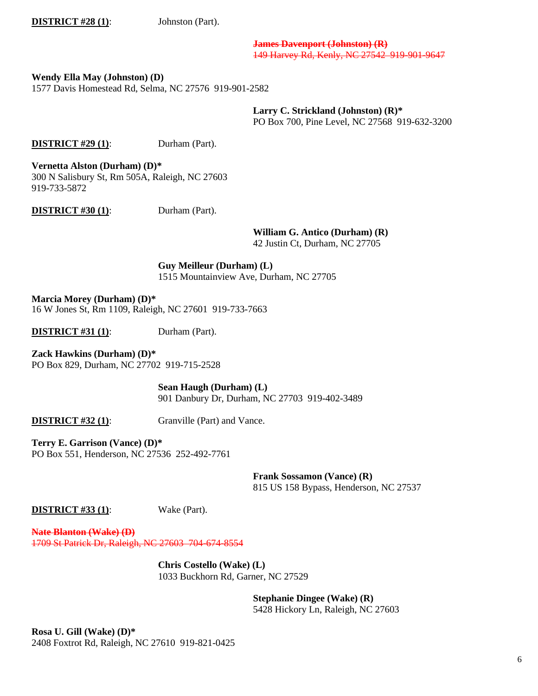**DISTRICT** #28 (1): Johnston (Part).

**James Davenport (Johnston) (R)** 149 Harvey Rd, Kenly, NC 27542 919-901-9647

**Wendy Ella May (Johnston) (D)**

1577 Davis Homestead Rd, Selma, NC 27576 919-901-2582

**Larry C. Strickland (Johnston) (R)\*** PO Box 700, Pine Level, NC 27568 919-632-3200

**DISTRICT #29 (1):** Durham (Part).

**Vernetta Alston (Durham) (D)\*** 300 N Salisbury St, Rm 505A, Raleigh, NC 27603 919-733-5872

**DISTRICT #30 (1)**: Durham (Part).

**William G. Antico (Durham) (R)**

42 Justin Ct, Durham, NC 27705

**Guy Meilleur (Durham) (L)** 1515 Mountainview Ave, Durham, NC 27705

**Marcia Morey (Durham) (D)\***  16 W Jones St, Rm 1109, Raleigh, NC 27601 919-733-7663

**DISTRICT #31 (1):** Durham (Part).

**Zack Hawkins (Durham) (D)\*** PO Box 829, Durham, NC 27702 919-715-2528

> **Sean Haugh (Durham) (L)** 901 Danbury Dr, Durham, NC 27703 919-402-3489

**DISTRICT #32 (1):** Granville (Part) and Vance.

**Terry E. Garrison (Vance) (D)\*** PO Box 551, Henderson, NC 27536 252-492-7761

> **Frank Sossamon (Vance) (R)** 815 US 158 Bypass, Henderson, NC 27537

**DISTRICT #33 (1)**: Wake (Part).

**Nate Blanton (Wake) (D)** 1709 St Patrick Dr, Raleigh, NC 27603 704-674-8554

> **Chris Costello (Wake) (L)** 1033 Buckhorn Rd, Garner, NC 27529

> > **Stephanie Dingee (Wake) (R)** 5428 Hickory Ln, Raleigh, NC 27603

**Rosa U. Gill (Wake) (D)\*** 2408 Foxtrot Rd, Raleigh, NC 27610 919-821-0425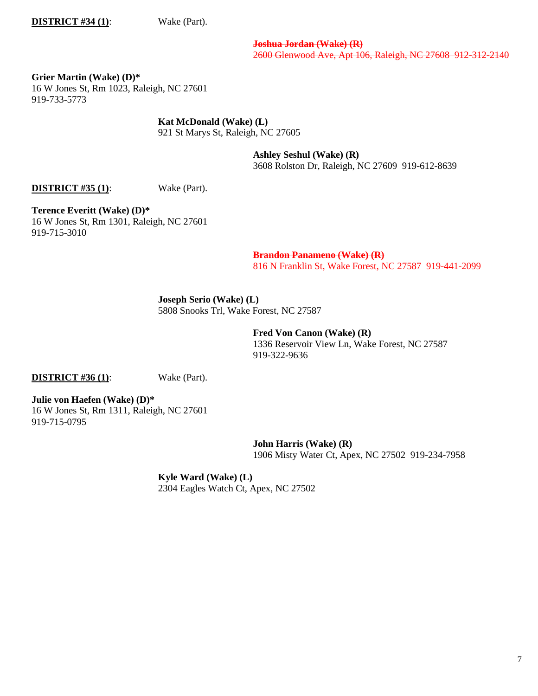**DISTRICT #34 (1):** Wake (Part).

**Joshua Jordan (Wake) (R)** 2600 Glenwood Ave, Apt 106, Raleigh, NC 27608 912-312-2140

**Grier Martin (Wake) (D)\*** 16 W Jones St, Rm 1023, Raleigh, NC 27601 919-733-5773

**Kat McDonald (Wake) (L)**

921 St Marys St, Raleigh, NC 27605

**Ashley Seshul (Wake) (R)** 3608 Rolston Dr, Raleigh, NC 27609 919-612-8639

**DISTRICT #35 (1):** Wake (Part).

**Terence Everitt (Wake) (D)\*** 16 W Jones St, Rm 1301, Raleigh, NC 27601 919-715-3010

> **Brandon Panameno (Wake) (R)** 816 N Franklin St, Wake Forest, NC 27587 919-441-2099

**Joseph Serio (Wake) (L)** 5808 Snooks Trl, Wake Forest, NC 27587

> **Fred Von Canon (Wake) (R)** 1336 Reservoir View Ln, Wake Forest, NC 27587 919-322-9636

**DISTRICT #36 (1)**: Wake (Part).

**Julie von Haefen (Wake) (D)\*** 16 W Jones St, Rm 1311, Raleigh, NC 27601 919-715-0795

> **John Harris (Wake) (R)** 1906 Misty Water Ct, Apex, NC 27502 919-234-7958

**Kyle Ward (Wake) (L)** 2304 Eagles Watch Ct, Apex, NC 27502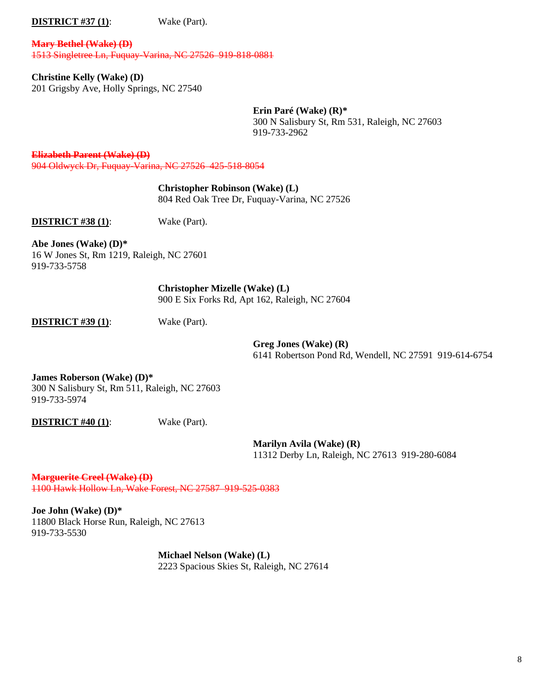**DISTRICT #37 (1):** Wake (Part).

**Mary Bethel (Wake) (D)** 1513 Singletree Ln, Fuquay-Varina, NC 27526 919-818-0881

**Christine Kelly (Wake) (D)** 201 Grigsby Ave, Holly Springs, NC 27540

> **Erin Paré (Wake) (R)\*** 300 N Salisbury St, Rm 531, Raleigh, NC 27603 919-733-2962

**Elizabeth Parent (Wake) (D)** 904 Oldwyck Dr, Fuquay-Varina, NC 27526 425-518-8054

> **Christopher Robinson (Wake) (L)** 804 Red Oak Tree Dr, Fuquay-Varina, NC 27526

**DISTRICT #38 (1)**: Wake (Part).

**Abe Jones (Wake) (D)\*** 16 W Jones St, Rm 1219, Raleigh, NC 27601 919-733-5758

> **Christopher Mizelle (Wake) (L)** 900 E Six Forks Rd, Apt 162, Raleigh, NC 27604

**DISTRICT #39 (1)**: Wake (Part).

**Greg Jones (Wake) (R)** 6141 Robertson Pond Rd, Wendell, NC 27591 919-614-6754

**James Roberson (Wake) (D)\***  300 N Salisbury St, Rm 511, Raleigh, NC 27603 919-733-5974

**DISTRICT #40 (1)**: Wake (Part).

**Marilyn Avila (Wake) (R)** 11312 Derby Ln, Raleigh, NC 27613 919-280-6084

**Marguerite Creel (Wake) (D)** 1100 Hawk Hollow Ln, Wake Forest, NC 27587 919-525-0383

**Joe John (Wake) (D)\*** 11800 Black Horse Run, Raleigh, NC 27613 919-733-5530

> **Michael Nelson (Wake) (L)** 2223 Spacious Skies St, Raleigh, NC 27614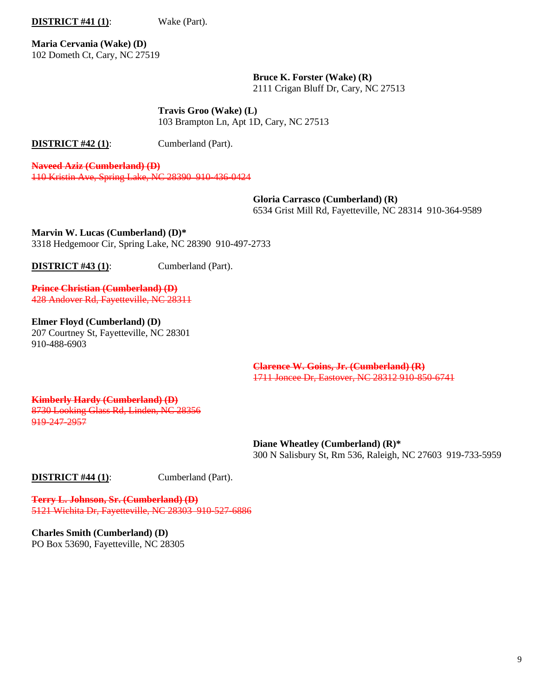**DISTRICT #41 (1)**: Wake (Part).

**Maria Cervania (Wake) (D)** 102 Dometh Ct, Cary, NC 27519

> **Bruce K. Forster (Wake) (R)** 2111 Crigan Bluff Dr, Cary, NC 27513

**Travis Groo (Wake) (L)** 103 Brampton Ln, Apt 1D, Cary, NC 27513

**DISTRICT #42 (1):** Cumberland (Part).

**Naveed Aziz (Cumberland) (D)** 110 Kristin Ave, Spring Lake, NC 28390 910-436-0424

> **Gloria Carrasco (Cumberland) (R)** 6534 Grist Mill Rd, Fayetteville, NC 28314 910-364-9589

**Marvin W. Lucas (Cumberland) (D)\*** 3318 Hedgemoor Cir, Spring Lake, NC 28390 910-497-2733

**DISTRICT #43 (1):** Cumberland (Part).

**Prince Christian (Cumberland) (D)** 428 Andover Rd, Fayetteville, NC 28311

**Elmer Floyd (Cumberland) (D)** 207 Courtney St, Fayetteville, NC 28301 910-488-6903

> **Clarence W. Goins, Jr. (Cumberland) (R)** 1711 Joncee Dr, Eastover, NC 28312 910-850-6741

**Kimberly Hardy (Cumberland) (D)** 8730 Looking Glass Rd, Linden, NC 28356 919-247-2957

> **Diane Wheatley (Cumberland) (R)\*** 300 N Salisbury St, Rm 536, Raleigh, NC 27603 919-733-5959

**DISTRICT #44 (1):** Cumberland (Part).

**Terry L. Johnson, Sr. (Cumberland) (D)** 5121 Wichita Dr, Fayetteville, NC 28303 910-527-6886

**Charles Smith (Cumberland) (D)** PO Box 53690, Fayetteville, NC 28305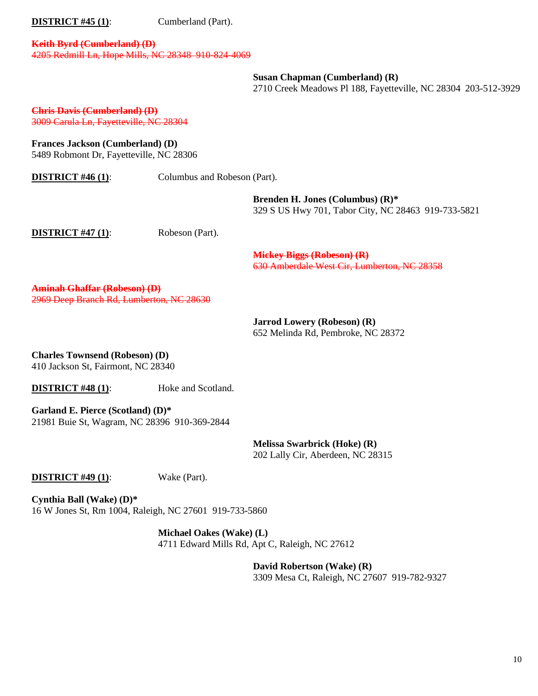**DISTRICT #45 (1):** Cumberland (Part).

#### **Keith Byrd (Cumberland) (D)** 4205 Redmill Ln, Hope Mills, NC 28348 910-824-4069

**Susan Chapman (Cumberland) (R)**

2710 Creek Meadows Pl 188, Fayetteville, NC 28304 203-512-3929

**Chris Davis (Cumberland) (D)** 3009 Carula Ln, Fayetteville, NC 28304

**Frances Jackson (Cumberland) (D)**

5489 Robmont Dr, Fayetteville, NC 28306

| <b>DISTRICT #46 (1):</b>                                                        | Columbus and Robeson (Part). |                                                                                            |
|---------------------------------------------------------------------------------|------------------------------|--------------------------------------------------------------------------------------------|
|                                                                                 |                              | Brenden H. Jones (Columbus) $(R)^*$<br>329 S US Hwy 701, Tabor City, NC 28463 919-733-5821 |
| <b>DISTRICT #47 (1):</b>                                                        | Robeson (Part).              |                                                                                            |
|                                                                                 |                              | <b>Mickey Biggs (Robeson) (R)</b><br>630 Amberdale West Cir, Lumberton, NC 28358           |
| <b>Aminah Ghaffar (Robeson) (D)</b><br>2969 Deen Branch Rd. Lumberton, NC 28630 |                              |                                                                                            |
|                                                                                 |                              | <b>Jarrod Lowery (Robeson) (R)</b><br>652 Melinda Rd, Pembroke, NC 28372                   |

**Charles Townsend (Robeson) (D)** 410 Jackson St, Fairmont, NC 28340

**DISTRICT #48 (1):** Hoke and Scotland.

**Garland E. Pierce (Scotland) (D)\*** 21981 Buie St, Wagram, NC 28396 910-369-2844

> **Melissa Swarbrick (Hoke) (R)** 202 Lally Cir, Aberdeen, NC 28315

**DISTRICT #49 (1):** Wake (Part).

**Cynthia Ball (Wake) (D)\*** 16 W Jones St, Rm 1004, Raleigh, NC 27601 919-733-5860

> **Michael Oakes (Wake) (L)** 4711 Edward Mills Rd, Apt C, Raleigh, NC 27612

> > **David Robertson (Wake) (R)** 3309 Mesa Ct, Raleigh, NC 27607 919-782-9327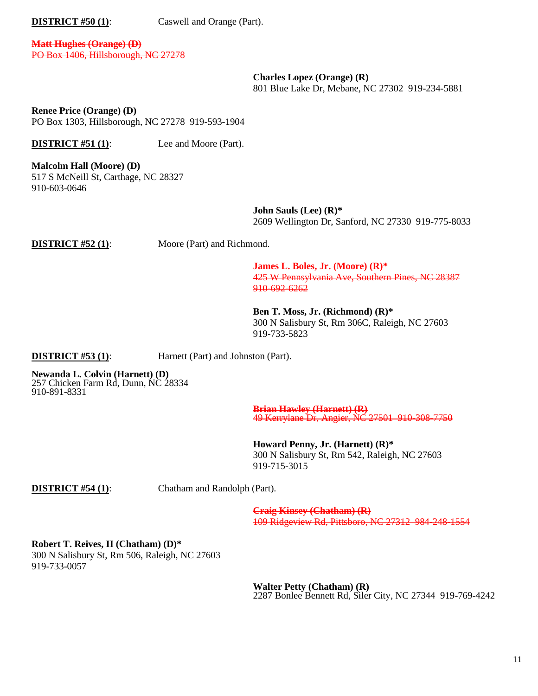**DISTRICT #50 (1):** Caswell and Orange (Part).

**Matt Hughes (Orange) (D)** PO Box 1406, Hillsborough, NC 27278

> **Charles Lopez (Orange) (R)** 801 Blue Lake Dr, Mebane, NC 27302 919-234-5881

**Renee Price (Orange) (D)** PO Box 1303, Hillsborough, NC 27278 919-593-1904

**DISTRICT #51 (1):** Lee and Moore (Part).

**Malcolm Hall (Moore) (D)** 517 S McNeill St, Carthage, NC 28327 910-603-0646

> **John Sauls (Lee) (R)\*** 2609 Wellington Dr, Sanford, NC 27330 919-775-8033

**DISTRICT #52 (1):** Moore (Part) and Richmond.

**James L. Boles, Jr. (Moore) (R)\*** 425 W Pennsylvania Ave, Southern Pines, NC 28387 910-692-6262

**Ben T. Moss, Jr. (Richmond) (R)\*** 300 N Salisbury St, Rm 306C, Raleigh, NC 27603 919-733-5823

**DISTRICT #53 (1):** Harnett (Part) and Johnston (Part).

**Newanda L. Colvin (Harnett) (D)** 257 Chicken Farm Rd, Dunn, NC 28334 910-891-8331

> **Brian Hawley (Harnett) (R)** 49 Kerrylane Dr, Angier, NC 27501 910 308 7750

**Howard Penny, Jr. (Harnett) (R)\*** 300 N Salisbury St, Rm 542, Raleigh, NC 27603 919-715-3015

**DISTRICT #54 (1)**: Chatham and Randolph (Part).

**Craig Kinsey (Chatham) (R)** 109 Ridgeview Rd, Pittsboro, NC 27312 984-248-1554

**Robert T. Reives, II (Chatham) (D)\*** 300 N Salisbury St, Rm 506, Raleigh, NC 27603 919-733-0057

> **Walter Petty (Chatham) (R)** 2287 Bonlee Bennett Rd, Siler City, NC 27344 919-769-4242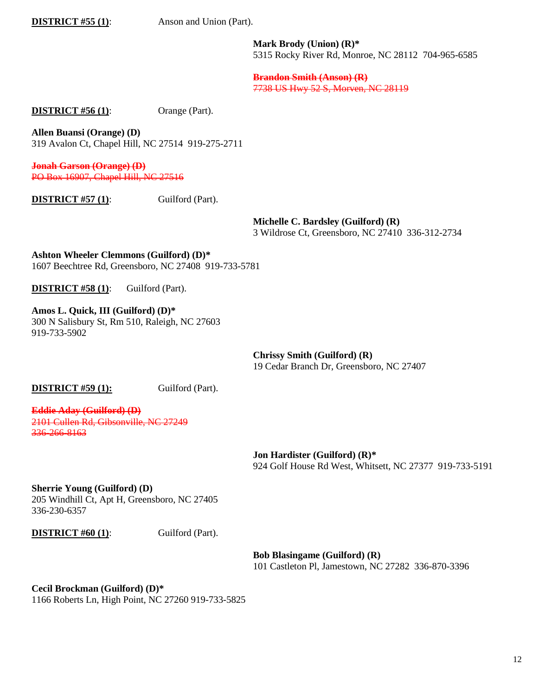**DISTRICT #55 (1)**: Anson and Union (Part).

**Mark Brody (Union) (R)\*** 5315 Rocky River Rd, Monroe, NC 28112 704-965-6585

**Brandon Smith (Anson) (R)** 7738 US Hwy 52 S, Morven, NC 28119

**DISTRICT #56 (1):** Orange (Part).

**Allen Buansi (Orange) (D)** 319 Avalon Ct, Chapel Hill, NC 27514 919-275-2711

**Jonah Garson (Orange) (D)** PO Box 16907, Chapel Hill, NC 27516

**DISTRICT #57 (1):** Guilford (Part).

**Michelle C. Bardsley (Guilford) (R)**

3 Wildrose Ct, Greensboro, NC 27410 336-312-2734

**Ashton Wheeler Clemmons (Guilford) (D)\*** 1607 Beechtree Rd, Greensboro, NC 27408 919-733-5781

**DISTRICT #58 (1)**: Guilford (Part).

**Amos L. Quick, III (Guilford) (D)\*** 300 N Salisbury St, Rm 510, Raleigh, NC 27603 919-733-5902

> **Chrissy Smith (Guilford) (R)** 19 Cedar Branch Dr, Greensboro, NC 27407

**DISTRICT #59 (1):** Guilford (Part).

**Eddie Aday (Guilford) (D)** 2101 Cullen Rd, Gibsonville, NC 27249 336-266-8163

> **Jon Hardister (Guilford) (R)\*** 924 Golf House Rd West, Whitsett, NC 27377 919-733-5191

**Sherrie Young (Guilford) (D)**

205 Windhill Ct, Apt H, Greensboro, NC 27405 336-230-6357

**DISTRICT #60 (1):** Guilford (Part).

**Bob Blasingame (Guilford) (R)** 101 Castleton Pl, Jamestown, NC 27282 336-870-3396

**Cecil Brockman (Guilford) (D)\*** 1166 Roberts Ln, High Point, NC 27260 919-733-5825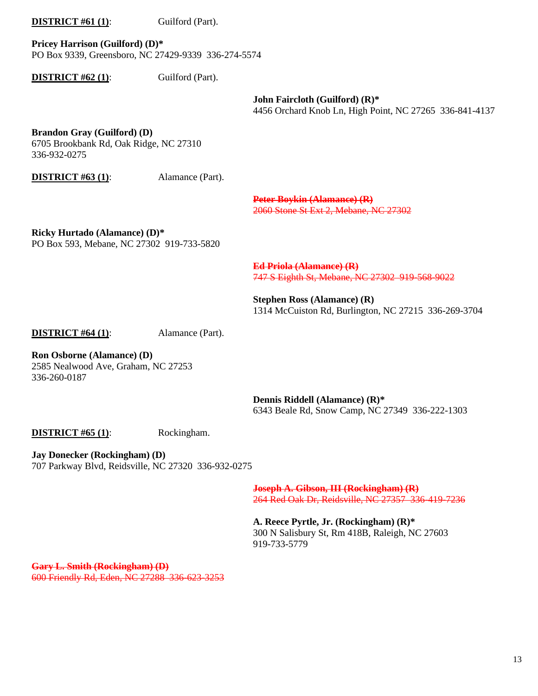### **DISTRICT #61 (1):** Guilford (Part).

**Pricey Harrison (Guilford) (D)\*** PO Box 9339, Greensboro, NC 27429-9339 336-274-5574

**DISTRICT #62 (1):** Guilford (Part).

**John Faircloth (Guilford) (R)\*** 4456 Orchard Knob Ln, High Point, NC 27265 336-841-4137

### **Brandon Gray (Guilford) (D)**

6705 Brookbank Rd, Oak Ridge, NC 27310 336-932-0275

**DISTRICT #63 (1):** Alamance (Part).

**Peter Boykin (Alamance) (R)** 2060 Stone St Ext 2, Mebane, NC 27302

**Ricky Hurtado (Alamance) (D)\*** PO Box 593, Mebane, NC 27302 919-733-5820

> **Ed Priola (Alamance) (R)** 747 S Eighth St, Mebane, NC 27302 919-568-9022

**Stephen Ross (Alamance) (R)** 1314 McCuiston Rd, Burlington, NC 27215 336-269-3704

**DISTRICT #64 (1):** Alamance (Part).

**Ron Osborne (Alamance) (D)** 2585 Nealwood Ave, Graham, NC 27253 336-260-0187

> **Dennis Riddell (Alamance) (R)\*** 6343 Beale Rd, Snow Camp, NC 27349 336-222-1303

**DISTRICT #65 (1):** Rockingham.

**Jay Donecker (Rockingham) (D)** 707 Parkway Blvd, Reidsville, NC 27320 336-932-0275

> **Joseph A. Gibson, III (Rockingham) (R)** 264 Red Oak Dr, Reidsville, NC 27357 336-419-7236

**A. Reece Pyrtle, Jr. (Rockingham) (R)\***  300 N Salisbury St, Rm 418B, Raleigh, NC 27603 919-733-5779

**Gary L. Smith (Rockingham) (D)** 600 Friendly Rd, Eden, NC 27288 336-623-3253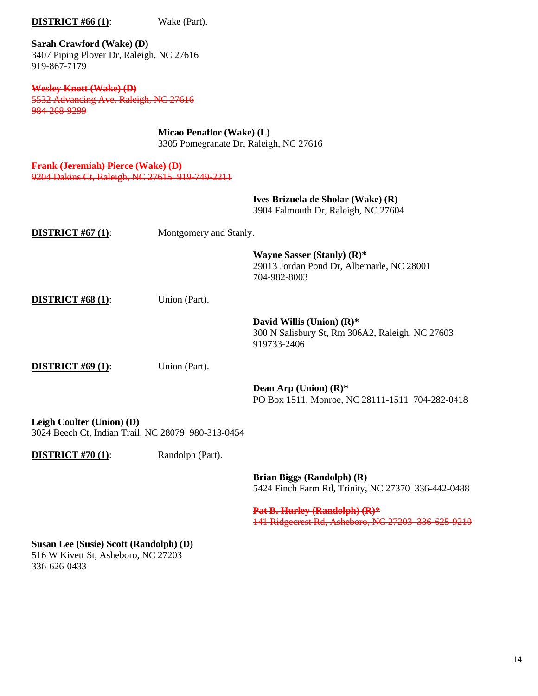**Sarah Crawford (Wake) (D)** 3407 Piping Plover Dr, Raleigh, NC 27616 919-867-7179

**DISTRICT #66 (1):** Wake (Part).

**Wesley Knott (Wake) (D)** 5532 Advancing Ave, Raleigh, NC 27616 984-268-9299

> **Micao Penaflor (Wake) (L)** 3305 Pomegranate Dr, Raleigh, NC 27616

**Frank (Jeremiah) Pierce (Wake) (D)** 9204 Dakins Ct, Raleigh, NC 27615 919-749-2211

|                                                                                                      |                  | Ives Brizuela de Sholar (Wake) (R)<br>3904 Falmouth Dr, Raleigh, NC 27604                      |  |  |  |
|------------------------------------------------------------------------------------------------------|------------------|------------------------------------------------------------------------------------------------|--|--|--|
| <b>DISTRICT</b> #67 $(1)$ :                                                                          |                  | Montgomery and Stanly.                                                                         |  |  |  |
|                                                                                                      |                  | Wayne Sasser (Stanly) (R)*<br>29013 Jordan Pond Dr, Albemarle, NC 28001<br>704-982-8003        |  |  |  |
| <b>DISTRICT #68 (1):</b>                                                                             | Union (Part).    |                                                                                                |  |  |  |
|                                                                                                      |                  | David Willis (Union) $(R)^*$<br>300 N Salisbury St, Rm 306A2, Raleigh, NC 27603<br>919733-2406 |  |  |  |
| <b>DISTRICT #69 (1):</b>                                                                             | Union (Part).    |                                                                                                |  |  |  |
|                                                                                                      |                  | Dean Arp (Union) $(R)^*$<br>PO Box 1511, Monroe, NC 28111-1511 704-282-0418                    |  |  |  |
| Leigh Coulter (Union) (D)<br>3024 Beech Ct, Indian Trail, NC 28079 980-313-0454                      |                  |                                                                                                |  |  |  |
| <b>DISTRICT #70 (1):</b>                                                                             | Randolph (Part). |                                                                                                |  |  |  |
|                                                                                                      |                  | Brian Biggs (Randolph) (R)<br>5424 Finch Farm Rd, Trinity, NC 27370 336-442-0488               |  |  |  |
|                                                                                                      |                  | Pat B. Hurley (Randolph) (R)*<br>141 Ridgecrest Rd, Asheboro, NC 27203 336 625 9210            |  |  |  |
| <b>Susan Lee (Susie) Scott (Randolph) (D)</b><br>516 W Kivett St, Asheboro, NC 27203<br>336-626-0433 |                  |                                                                                                |  |  |  |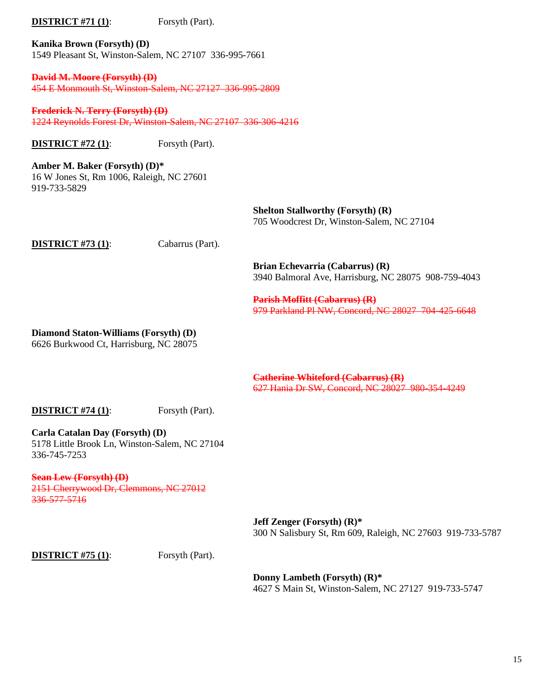# **DISTRICT** #71 (1): Forsyth (Part).

**Kanika Brown (Forsyth) (D)** 1549 Pleasant St, Winston-Salem, NC 27107 336-995-7661

**David M. Moore (Forsyth) (D)** 454 E Monmouth St, Winston-Salem, NC 27127 336-995-2809

**Frederick N. Terry (Forsyth) (D)** 1224 Reynolds Forest Dr, Winston-Salem, NC 27107 336-306-4216

**DISTRICT** #72 (1): Forsyth (Part).

**Amber M. Baker (Forsyth) (D)\*** 16 W Jones St, Rm 1006, Raleigh, NC 27601 919-733-5829

> **Shelton Stallworthy (Forsyth) (R)** 705 Woodcrest Dr, Winston-Salem, NC 27104

**DISTRICT #73 (1)**: Cabarrus (Part).

**Brian Echevarria (Cabarrus) (R)** 3940 Balmoral Ave, Harrisburg, NC 28075 908-759-4043

**Parish Moffitt (Cabarrus) (R)** 979 Parkland Pl NW, Concord, NC 28027 704-425-6648

**Diamond Staton-Williams (Forsyth) (D)**

6626 Burkwood Ct, Harrisburg, NC 28075

**Catherine Whiteford (Cabarrus) (R)** 627 Hania Dr SW, Concord, NC 28027 980-354-4249

**DISTRICT #74 (1):** Forsyth (Part).

**Carla Catalan Day (Forsyth) (D)** 5178 Little Brook Ln, Winston-Salem, NC 27104 336-745-7253

**Sean Lew (Forsyth) (D)** 2151 Cherrywood Dr, Clemmons, NC 27012 336-577-5716

> **Jeff Zenger (Forsyth) (R)\*** 300 N Salisbury St, Rm 609, Raleigh, NC 27603 919-733-5787

**DISTRICT #75 (1):** For Forsyth (Part).

**Donny Lambeth (Forsyth) (R)\*** 4627 S Main St, Winston-Salem, NC 27127 919-733-5747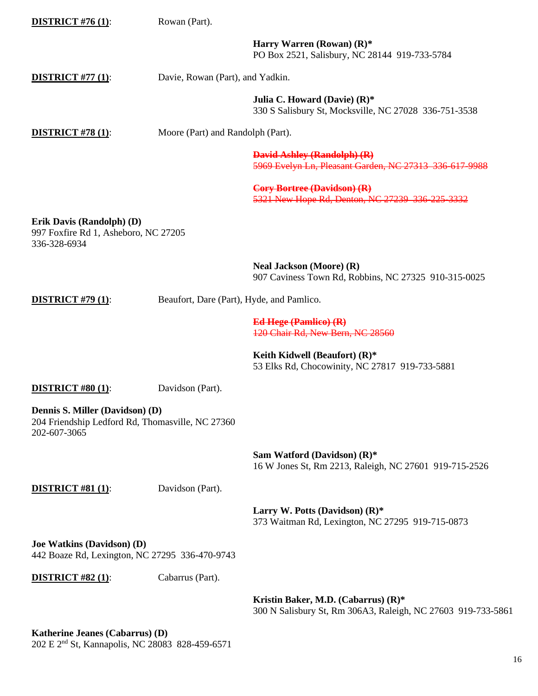| <b>DISTRICT #76 (1):</b>                                                                            | Rowan (Part).                             |                                                                                                     |
|-----------------------------------------------------------------------------------------------------|-------------------------------------------|-----------------------------------------------------------------------------------------------------|
|                                                                                                     |                                           | Harry Warren (Rowan) $(R)^*$<br>PO Box 2521, Salisbury, NC 28144 919-733-5784                       |
| <b>DISTRICT</b> #77 $(1)$ :                                                                         | Davie, Rowan (Part), and Yadkin.          |                                                                                                     |
|                                                                                                     |                                           | Julia C. Howard (Davie) $(R)^*$<br>330 S Salisbury St, Mocksville, NC 27028 336-751-3538            |
| <b>DISTRICT #78 (1):</b>                                                                            | Moore (Part) and Randolph (Part).         |                                                                                                     |
|                                                                                                     |                                           | <b>David Ashley (Randolph) (R)</b><br>5969 Evelyn Ln, Pleasant Garden, NC 27313 336 617-9988        |
|                                                                                                     |                                           | <b>Cory Bortree (Davidson) (R)</b><br>5321 New Hope Rd, Denton, NC 27239 336 225 3332               |
| Erik Davis (Randolph) (D)<br>997 Foxfire Rd 1, Asheboro, NC 27205<br>336-328-6934                   |                                           |                                                                                                     |
|                                                                                                     |                                           | <b>Neal Jackson (Moore) (R)</b><br>907 Caviness Town Rd, Robbins, NC 27325 910-315-0025             |
| <b>DISTRICT #79 (1):</b>                                                                            | Beaufort, Dare (Part), Hyde, and Pamlico. |                                                                                                     |
|                                                                                                     |                                           | Ed Hege (Pamlico) (R)<br>120 Chair Rd, New Bern, NC 28560                                           |
|                                                                                                     |                                           | Keith Kidwell (Beaufort) $(R)^*$<br>53 Elks Rd, Chocowinity, NC 27817 919-733-5881                  |
| <b>DISTRICT #80 (1):</b>                                                                            | Davidson (Part).                          |                                                                                                     |
| Dennis S. Miller (Davidson) (D)<br>204 Friendship Ledford Rd, Thomasville, NC 27360<br>202-607-3065 |                                           |                                                                                                     |
|                                                                                                     |                                           | Sam Watford (Davidson) $(R)$ *<br>16 W Jones St, Rm 2213, Raleigh, NC 27601 919-715-2526            |
| <b>DISTRICT #81 (1):</b>                                                                            | Davidson (Part).                          |                                                                                                     |
|                                                                                                     |                                           | Larry W. Potts (Davidson) (R)*<br>373 Waitman Rd, Lexington, NC 27295 919-715-0873                  |
| <b>Joe Watkins (Davidson) (D)</b><br>442 Boaze Rd, Lexington, NC 27295 336-470-9743                 |                                           |                                                                                                     |
| <b>DISTRICT #82 (1):</b>                                                                            | Cabarrus (Part).                          |                                                                                                     |
|                                                                                                     |                                           | Kristin Baker, M.D. (Cabarrus) (R)*<br>300 N Salisbury St, Rm 306A3, Raleigh, NC 27603 919-733-5861 |
| Katherine Jeanes (Cabarrus) (D)<br>202 $E$ 2nd $S_t$ Konnepolic NC 28082 828 450 6571               |                                           |                                                                                                     |

202 E 2nd St, Kannapolis, NC 28083 828-459-6571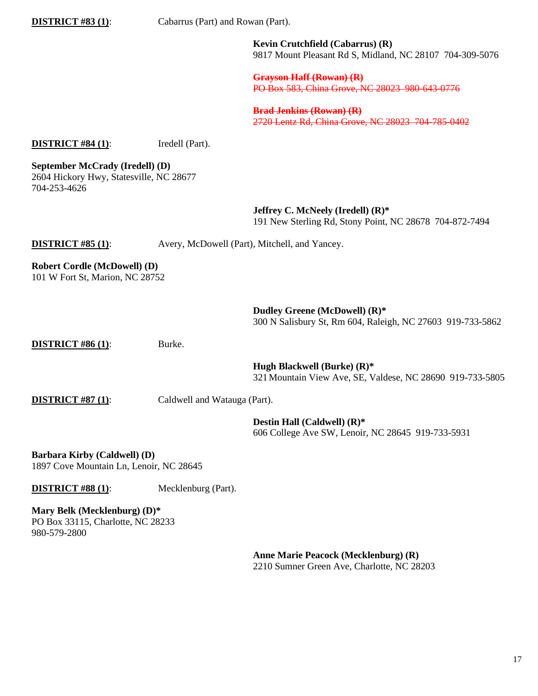**DISTRICT #83 (1)**: Cabarrus (Part) and Rowan (Part).

**Kevin Crutchfield (Cabarrus) (R)** 9817 Mount Pleasant Rd S, Midland, NC 28107 704-309-5076

**Grayson Haff (Rowan) (R)** PO Box 583, China Grove, NC 28023 980-643-0776

**Brad Jenkins (Rowan) (R)** 2720 Lentz Rd, China Grove, NC 28023 704-785-0402

**DISTRICT #84 (1):** Iredell (Part).

**September McCrady (Iredell) (D)** 2604 Hickory Hwy, Statesville, NC 28677 704-253-4626

> **Jeffrey C. McNeely (Iredell) (R)\***  191 New Sterling Rd, Stony Point, NC 28678 704-872-7494

**DISTRICT #85 (1):** Avery, McDowell (Part), Mitchell, and Yancey.

**Robert Cordle (McDowell) (D)**

101 W Fort St, Marion, NC 28752

**Dudley Greene (McDowell) (R)\*** 300 N Salisbury St, Rm 604, Raleigh, NC 27603 919-733-5862

**DISTRICT #86 (1):** Burke.

**Hugh Blackwell (Burke) (R)\*** 321Mountain View Ave, SE, Valdese, NC 28690 919-733-5805

**DISTRICT #87 (1)**: Caldwell and Watauga (Part).

**Destin Hall (Caldwell) (R)\*** 606 College Ave SW, Lenoir, NC 28645 919-733-5931

**Barbara Kirby (Caldwell) (D)** 1897 Cove Mountain Ln, Lenoir, NC 28645

**DISTRICT #88 (1):** Mecklenburg (Part).

**Mary Belk (Mecklenburg) (D)\*** PO Box 33115, Charlotte, NC 28233 980-579-2800

> **Anne Marie Peacock (Mecklenburg) (R)** 2210 Sumner Green Ave, Charlotte, NC 28203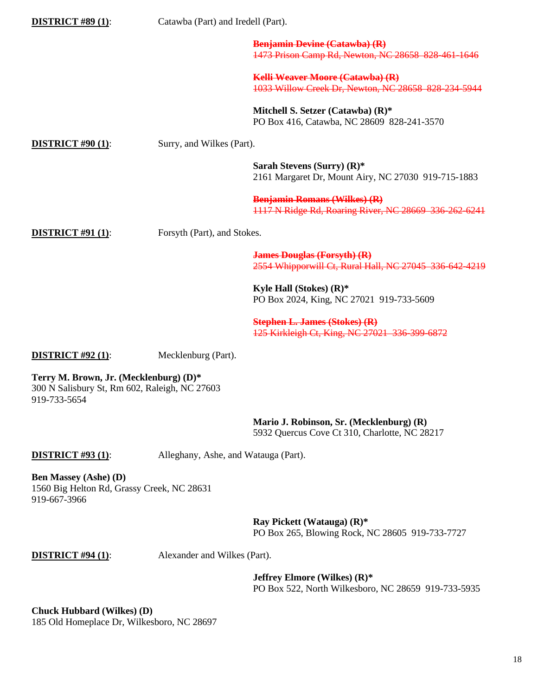| <b>DISTRICT #89 (1):</b>                                                                                | Catawba (Part) and Iredell (Part).   |                                                                                                          |
|---------------------------------------------------------------------------------------------------------|--------------------------------------|----------------------------------------------------------------------------------------------------------|
|                                                                                                         |                                      | <b>Benjamin Devine (Catawba) (R)</b><br>1473 Prison Camp Rd, Newton, NC 28658 828 461 1646               |
|                                                                                                         |                                      | <b>Kelli Weaver Moore (Catawba) (R)</b><br>1033 Willow Creek Dr, Newton, NC 28658 828-234-5944           |
|                                                                                                         |                                      | Mitchell S. Setzer (Catawba) (R)*<br>PO Box 416, Catawba, NC 28609 828-241-3570                          |
| <b>DISTRICT #90 (1):</b>                                                                                | Surry, and Wilkes (Part).            |                                                                                                          |
|                                                                                                         |                                      | Sarah Stevens (Surry) $(R)$ *<br>2161 Margaret Dr, Mount Airy, NC 27030 919-715-1883                     |
|                                                                                                         |                                      | <b>Benjamin Romans (Wilkes) (R)</b><br>1117 N Ridge Rd, Roaring River, NC 28669 336 262 6241             |
| <b>DISTRICT #91 (1):</b>                                                                                | Forsyth (Part), and Stokes.          |                                                                                                          |
|                                                                                                         |                                      | <b>James Douglas (Forsyth) (R)</b><br>2554 Whipporwill Ct, Rural Hall, NC 27045 336-642-4219             |
|                                                                                                         |                                      | Kyle Hall (Stokes) $(R)$ *<br>PO Box 2024, King, NC 27021 919-733-5609                                   |
|                                                                                                         |                                      | <b>Stephen L. James (Stokes) (R)</b><br>125 Kirkleigh Ct, King, NC 27021 336-399-6872                    |
| <b>DISTRICT #92 (1):</b>                                                                                | Mecklenburg (Part).                  |                                                                                                          |
| Terry M. Brown, Jr. (Mecklenburg) (D)*<br>300 N Salisbury St, Rm 602, Raleigh, NC 27603<br>919-733-5654 |                                      |                                                                                                          |
|                                                                                                         |                                      | Mario J. Robinson, Sr. (Mecklenburg) (R)<br>5932 Quercus Cove Ct 310, Charlotte, NC 28217                |
| <b>DISTRICT #93 (1):</b>                                                                                | Alleghany, Ashe, and Watauga (Part). |                                                                                                          |
| <b>Ben Massey (Ashe) (D)</b><br>1560 Big Helton Rd, Grassy Creek, NC 28631<br>919-667-3966              |                                      |                                                                                                          |
|                                                                                                         |                                      | Ray Pickett (Watauga) $(R)^*$<br>PO Box 265, Blowing Rock, NC 28605 919-733-7727                         |
| <b>DISTRICT #94 (1):</b>                                                                                | Alexander and Wilkes (Part).         |                                                                                                          |
|                                                                                                         |                                      | <b>Jeffrey Elmore (Wilkes) <math>(R)^*</math></b><br>PO Box 522, North Wilkesboro, NC 28659 919-733-5935 |
| <b>Chuck Hubbard (Wilkes) (D)</b><br>185 Old Homeplace Dr, Wilkesboro, NC 28697                         |                                      |                                                                                                          |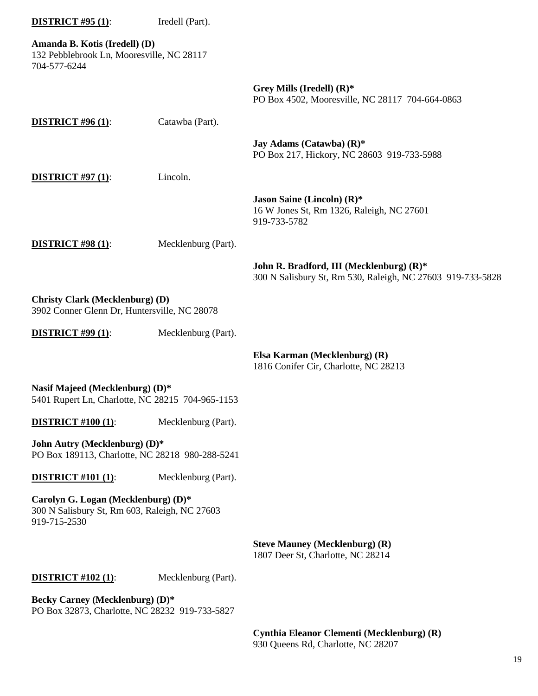| <b>DISTRICT #95 (1):</b>                                                                             | Iredell (Part).     |                                                                                                        |
|------------------------------------------------------------------------------------------------------|---------------------|--------------------------------------------------------------------------------------------------------|
| Amanda B. Kotis (Iredell) (D)<br>132 Pebblebrook Ln, Mooresville, NC 28117<br>704-577-6244           |                     |                                                                                                        |
|                                                                                                      |                     | Grey Mills (Iredell) $(R)^*$<br>PO Box 4502, Mooresville, NC 28117 704-664-0863                        |
| <b>DISTRICT #96 (1):</b>                                                                             | Catawba (Part).     |                                                                                                        |
|                                                                                                      |                     | Jay Adams (Catawba) $(R)^*$<br>PO Box 217, Hickory, NC 28603 919-733-5988                              |
| <b>DISTRICT #97 (1):</b>                                                                             | Lincoln.            |                                                                                                        |
|                                                                                                      |                     | Jason Saine (Lincoln) $(R)^*$<br>16 W Jones St, Rm 1326, Raleigh, NC 27601<br>919-733-5782             |
| <b>DISTRICT #98 (1):</b>                                                                             | Mecklenburg (Part). |                                                                                                        |
|                                                                                                      |                     | John R. Bradford, III (Mecklenburg) (R)*<br>300 N Salisbury St, Rm 530, Raleigh, NC 27603 919-733-5828 |
| <b>Christy Clark (Mecklenburg) (D)</b><br>3902 Conner Glenn Dr, Huntersville, NC 28078               |                     |                                                                                                        |
| <b>DISTRICT #99 (1):</b>                                                                             | Mecklenburg (Part). |                                                                                                        |
|                                                                                                      |                     | Elsa Karman (Mecklenburg) (R)<br>1816 Conifer Cir, Charlotte, NC 28213                                 |
| Nasif Majeed (Mecklenburg) (D)*<br>5401 Rupert Ln, Charlotte, NC 28215 704-965-1153                  |                     |                                                                                                        |
| <b>DISTRICT #100 (1):</b>                                                                            | Mecklenburg (Part). |                                                                                                        |
| John Autry (Mecklenburg) (D)*<br>PO Box 189113, Charlotte, NC 28218 980-288-5241                     |                     |                                                                                                        |
| <b>DISTRICT #101 (1):</b>                                                                            | Mecklenburg (Part). |                                                                                                        |
| Carolyn G. Logan (Mecklenburg) (D)*<br>300 N Salisbury St, Rm 603, Raleigh, NC 27603<br>919-715-2530 |                     |                                                                                                        |
|                                                                                                      |                     | <b>Steve Mauney (Mecklenburg) (R)</b><br>1807 Deer St, Charlotte, NC 28214                             |
| <b>DISTRICT #102 (1):</b>                                                                            | Mecklenburg (Part). |                                                                                                        |
| Becky Carney (Mecklenburg) (D)*<br>PO Box 32873, Charlotte, NC 28232 919-733-5827                    |                     |                                                                                                        |
|                                                                                                      |                     | Cynthia Eleanor Clementi (Mecklenburg) (R)                                                             |

930 Queens Rd, Charlotte, NC 28207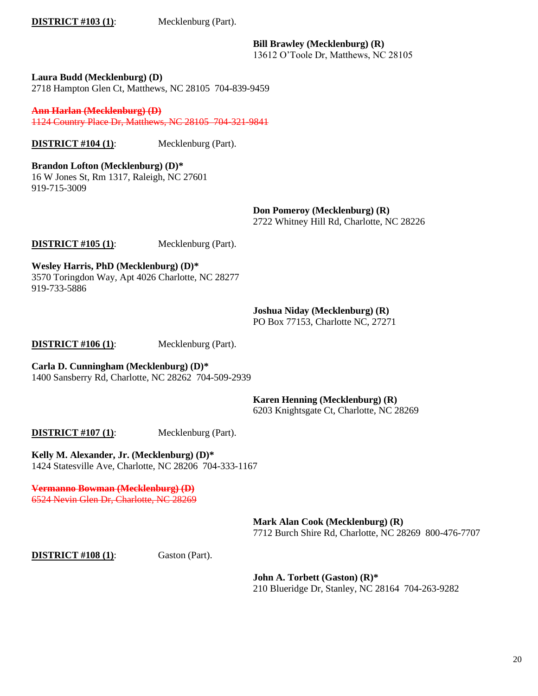**DISTRICT #103 (1)**: Mecklenburg (Part).

**Bill Brawley (Mecklenburg) (R)**

13612 O'Toole Dr, Matthews, NC 28105

**Laura Budd (Mecklenburg) (D)** 2718 Hampton Glen Ct, Matthews, NC 28105 704-839-9459

**Ann Harlan (Mecklenburg) (D)** 1124 Country Place Dr, Matthews, NC 28105 704-321-9841

**DISTRICT #104 (1)**: Mecklenburg (Part).

**Brandon Lofton (Mecklenburg) (D)\*** 16 W Jones St, Rm 1317, Raleigh, NC 27601 919-715-3009

> **Don Pomeroy (Mecklenburg) (R)** 2722 Whitney Hill Rd, Charlotte, NC 28226

**DISTRICT #105 (1)**: Mecklenburg (Part).

**Wesley Harris, PhD (Mecklenburg) (D)\*** 3570 Toringdon Way, Apt 4026 Charlotte, NC 28277 919-733-5886

**Joshua Niday (Mecklenburg) (R)**

PO Box 77153, Charlotte NC, 27271

**DISTRICT #106 (1)**: Mecklenburg (Part).

**Carla D. Cunningham (Mecklenburg) (D)\*** 1400 Sansberry Rd, Charlotte, NC 28262 704-509-2939

**Karen Henning (Mecklenburg) (R)**

6203 Knightsgate Ct, Charlotte, NC 28269

**DISTRICT** #107 (1): Mecklenburg (Part).

**Kelly M. Alexander, Jr. (Mecklenburg) (D)\*** 1424 Statesville Ave, Charlotte, NC 28206 704-333-1167

**Vermanno Bowman (Mecklenburg) (D)** 6524 Nevin Glen Dr, Charlotte, NC 28269

> **Mark Alan Cook (Mecklenburg) (R)** 7712 Burch Shire Rd, Charlotte, NC 28269 800-476-7707

**DISTRICT #108 (1)**: Gaston (Part).

**John A. Torbett (Gaston) (R)\*** 210 Blueridge Dr, Stanley, NC 28164 704-263-9282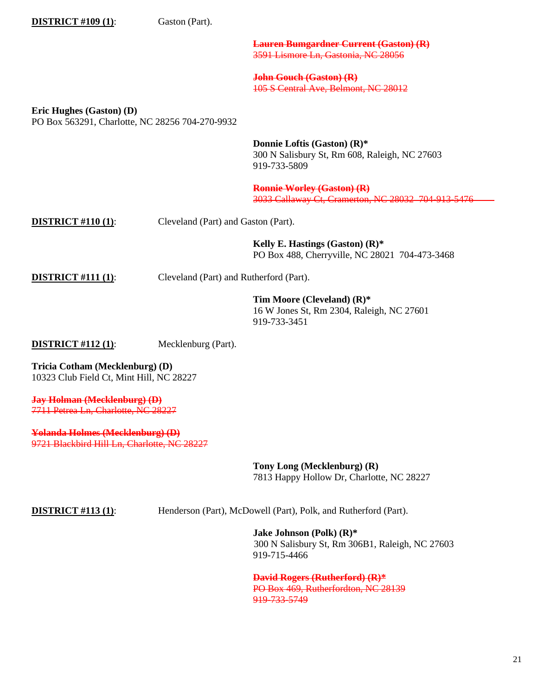| <b>DISTRICT #109 (1):</b>                                                   | Gaston (Part).                          |                                                                                              |
|-----------------------------------------------------------------------------|-----------------------------------------|----------------------------------------------------------------------------------------------|
|                                                                             |                                         | <b>Lauren Bumgardner Current (Gaston) (R)</b><br>3591 Lismore Ln, Gastonia, NC 28056         |
|                                                                             |                                         | <b>John Gouch (Gaston) (R)</b><br>105 S Central Ave, Belmont, NC 28012                       |
| Eric Hughes (Gaston) (D)<br>PO Box 563291, Charlotte, NC 28256 704-270-9932 |                                         |                                                                                              |
|                                                                             |                                         | Donnie Loftis (Gaston) (R)*<br>300 N Salisbury St, Rm 608, Raleigh, NC 27603<br>919-733-5809 |
|                                                                             |                                         | <b>Ronnie Worley (Gaston) (R)</b><br>3033 Callaway Ct, Cramerton, NC 28032 704 913 5476      |
| <b>DISTRICT #110 (1):</b>                                                   | Cleveland (Part) and Gaston (Part).     |                                                                                              |
|                                                                             |                                         | Kelly E. Hastings (Gaston) $(R)^*$<br>PO Box 488, Cherryville, NC 28021 704-473-3468         |
| <b>DISTRICT #111 (1):</b>                                                   | Cleveland (Part) and Rutherford (Part). |                                                                                              |
|                                                                             |                                         | Tim Moore (Cleveland) (R)*<br>16 W Jones St, Rm 2304, Raleigh, NC 27601<br>919-733-3451      |
| <b>DISTRICT #112 (1):</b>                                                   | Mecklenburg (Part).                     |                                                                                              |
| Tricia Cotham (Mecklenburg) (D)<br>10323 Club Field Ct, Mint Hill, NC 28227 |                                         |                                                                                              |
| <b>Jay Holman (Mecklenburg) (D)</b><br>7711 Petrea Ln, Charlotte, NC 28227  |                                         |                                                                                              |

**Yolanda Holmes (Mecklenburg) (D)** 9721 Blackbird Hill Ln, Charlotte, NC 28227

> **Tony Long (Mecklenburg) (R)** 7813 Happy Hollow Dr, Charlotte, NC 28227

**DISTRICT #113 (1)**: Henderson (Part), McDowell (Part), Polk, and Rutherford (Part).

**Jake Johnson (Polk) (R)\*** 300 N Salisbury St, Rm 306B1, Raleigh, NC 27603 919-715-4466

**David Rogers (Rutherford) (R)\*** PO Box 469, Rutherfordton, NC 28139 919-733-5749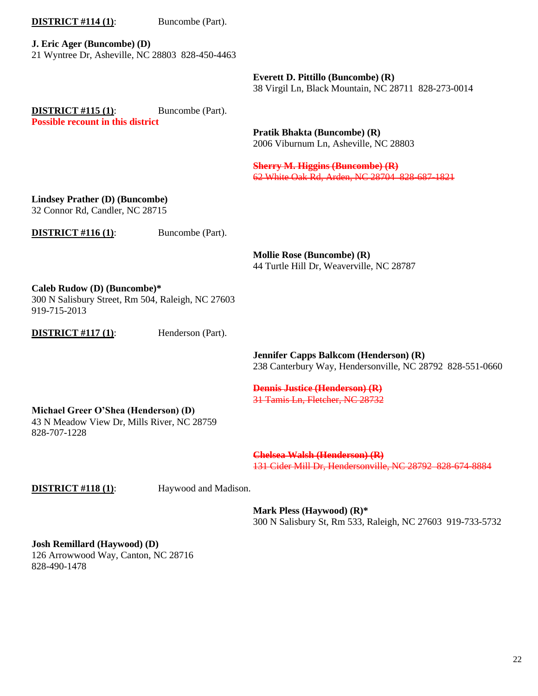#### **DISTRICT** #114 (1): Buncombe (Part).

**J. Eric Ager (Buncombe) (D)** 21 Wyntree Dr, Asheville, NC 28803 828-450-4463

> **Everett D. Pittillo (Buncombe) (R)** 38 Virgil Ln, Black Mountain, NC 28711 828-273-0014

**DISTRICT #115 (1):** Buncombe (Part). **Possible recount in this district**

> **Pratik Bhakta (Buncombe) (R)** 2006 Viburnum Ln, Asheville, NC 28803

**Sherry M. Higgins (Buncombe) (R)** 62 White Oak Rd, Arden, NC 28704 828-687-1821

## **Lindsey Prather (D) (Buncombe)**

32 Connor Rd, Candler, NC 28715

**DISTRICT** #116 (1): Buncombe (Part).

**Mollie Rose (Buncombe) (R)** 44 Turtle Hill Dr, Weaverville, NC 28787

**Caleb Rudow (D) (Buncombe)\***

300 N Salisbury Street, Rm 504, Raleigh, NC 27603 919-715-2013

**DISTRICT** #117 (1): Henderson (Part).

**Jennifer Capps Balkcom (Henderson) (R)** 238 Canterbury Way, Hendersonville, NC 28792 828-551-0660

#### **Dennis Justice (Henderson) (R)** 31 Tamis Ln, Fletcher, NC 28732

# **Michael Greer O'Shea (Henderson) (D)**

43 N Meadow View Dr, Mills River, NC 28759 828-707-1228

> **Chelsea Walsh (Henderson) (R)** 131 Cider Mill Dr, Hendersonville, NC 28792 828-674-8884

**DISTRICT #118 (1):** Haywood and Madison.

**Mark Pless (Haywood) (R)\*** 300 N Salisbury St, Rm 533, Raleigh, NC 27603 919-733-5732

**Josh Remillard (Haywood) (D)**

126 Arrowwood Way, Canton, NC 28716 828-490-1478

22